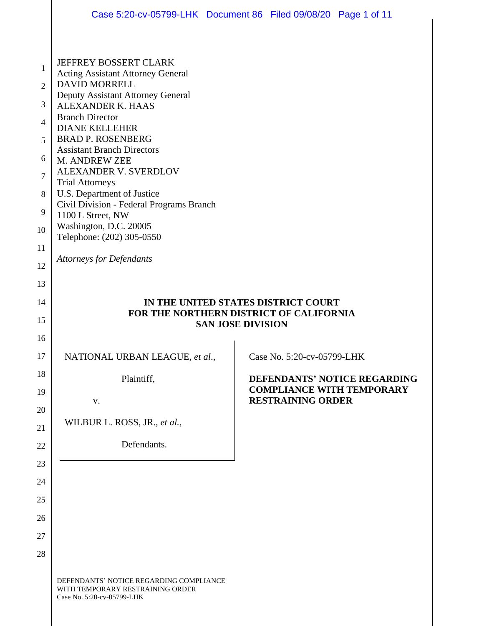|                     | Case 5:20-cv-05799-LHK Document 86 Filed 09/08/20 Page 1 of 11                                            |  |                                     |                                  |  |
|---------------------|-----------------------------------------------------------------------------------------------------------|--|-------------------------------------|----------------------------------|--|
|                     |                                                                                                           |  |                                     |                                  |  |
| 1                   | <b>JEFFREY BOSSERT CLARK</b><br><b>Acting Assistant Attorney General</b>                                  |  |                                     |                                  |  |
| $\overline{2}$      | <b>DAVID MORRELL</b>                                                                                      |  |                                     |                                  |  |
|                     | Deputy Assistant Attorney General                                                                         |  |                                     |                                  |  |
| 3<br>$\overline{4}$ | <b>ALEXANDER K. HAAS</b><br><b>Branch Director</b>                                                        |  |                                     |                                  |  |
|                     | <b>DIANE KELLEHER</b>                                                                                     |  |                                     |                                  |  |
| 5                   | <b>BRAD P. ROSENBERG</b><br><b>Assistant Branch Directors</b>                                             |  |                                     |                                  |  |
| 6                   | M. ANDREW ZEE                                                                                             |  |                                     |                                  |  |
| 7                   | <b>ALEXANDER V. SVERDLOV</b>                                                                              |  |                                     |                                  |  |
| 8                   | <b>Trial Attorneys</b><br>U.S. Department of Justice                                                      |  |                                     |                                  |  |
|                     | Civil Division - Federal Programs Branch                                                                  |  |                                     |                                  |  |
| 9                   | 1100 L Street, NW                                                                                         |  |                                     |                                  |  |
| 10                  | Washington, D.C. 20005<br>Telephone: (202) 305-0550                                                       |  |                                     |                                  |  |
| 11                  |                                                                                                           |  |                                     |                                  |  |
| 12                  | <b>Attorneys for Defendants</b>                                                                           |  |                                     |                                  |  |
| 13                  |                                                                                                           |  |                                     |                                  |  |
| 14                  |                                                                                                           |  | IN THE UNITED STATES DISTRICT COURT |                                  |  |
| 15                  | FOR THE NORTHERN DISTRICT OF CALIFORNIA                                                                   |  |                                     |                                  |  |
| 16                  | <b>SAN JOSE DIVISION</b>                                                                                  |  |                                     |                                  |  |
| 17                  | NATIONAL URBAN LEAGUE, et al.,                                                                            |  | Case No. 5:20-cv-05799-LHK          |                                  |  |
| 18                  |                                                                                                           |  |                                     | DEFENDANTS' NOTICE REGARDING     |  |
| 19                  | Plaintiff,                                                                                                |  |                                     | <b>COMPLIANCE WITH TEMPORARY</b> |  |
|                     | V.                                                                                                        |  | <b>RESTRAINING ORDER</b>            |                                  |  |
| 20                  |                                                                                                           |  |                                     |                                  |  |
| 21                  | WILBUR L. ROSS, JR., et al.,                                                                              |  |                                     |                                  |  |
| 22                  | Defendants.                                                                                               |  |                                     |                                  |  |
| 23                  |                                                                                                           |  |                                     |                                  |  |
| 24                  |                                                                                                           |  |                                     |                                  |  |
| 25                  |                                                                                                           |  |                                     |                                  |  |
| 26                  |                                                                                                           |  |                                     |                                  |  |
| 27                  |                                                                                                           |  |                                     |                                  |  |
| 28                  |                                                                                                           |  |                                     |                                  |  |
|                     | DEFENDANTS' NOTICE REGARDING COMPLIANCE<br>WITH TEMPORARY RESTRAINING ORDER<br>Case No. 5:20-cv-05799-LHK |  |                                     |                                  |  |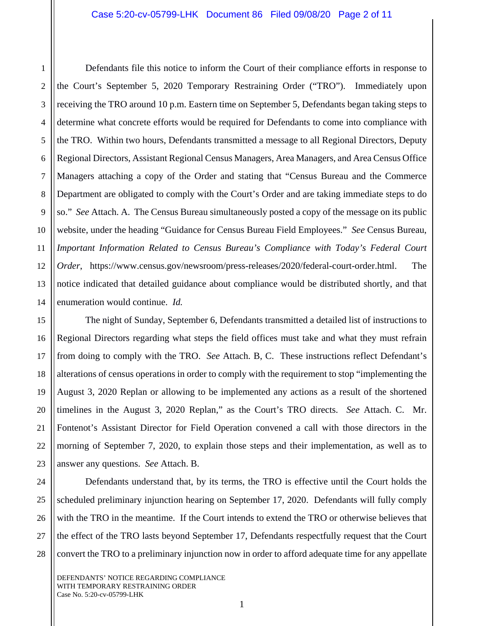Defendants file this notice to inform the Court of their compliance efforts in response to the Court's September 5, 2020 Temporary Restraining Order ("TRO"). Immediately upon receiving the TRO around 10 p.m. Eastern time on September 5, Defendants began taking steps to determine what concrete efforts would be required for Defendants to come into compliance with the TRO. Within two hours, Defendants transmitted a message to all Regional Directors, Deputy Regional Directors, Assistant Regional Census Managers, Area Managers, and Area Census Office Managers attaching a copy of the Order and stating that "Census Bureau and the Commerce Department are obligated to comply with the Court's Order and are taking immediate steps to do so." *See* Attach. A. The Census Bureau simultaneously posted a copy of the message on its public website, under the heading "Guidance for Census Bureau Field Employees." *See* Census Bureau, *Important Information Related to Census Bureau's Compliance with Today's Federal Court Order*, https://www.census.gov/newsroom/press-releases/2020/federal-court-order.html. The notice indicated that detailed guidance about compliance would be distributed shortly, and that enumeration would continue. *Id.*

The night of Sunday, September 6, Defendants transmitted a detailed list of instructions to Regional Directors regarding what steps the field offices must take and what they must refrain from doing to comply with the TRO. *See* Attach. B, C. These instructions reflect Defendant's alterations of census operations in order to comply with the requirement to stop "implementing the August 3, 2020 Replan or allowing to be implemented any actions as a result of the shortened timelines in the August 3, 2020 Replan," as the Court's TRO directs. *See* Attach. C.Mr. Fontenot's Assistant Director for Field Operation convened a call with those directors in the morning of September 7, 2020, to explain those steps and their implementation, as well as to answer any questions. *See* Attach. B.

Defendants understand that, by its terms, the TRO is effective until the Court holds the scheduled preliminary injunction hearing on September 17, 2020. Defendants will fully comply with the TRO in the meantime. If the Court intends to extend the TRO or otherwise believes that the effect of the TRO lasts beyond September 17, Defendants respectfully request that the Court convert the TRO to a preliminary injunction now in order to afford adequate time for any appellate

1

2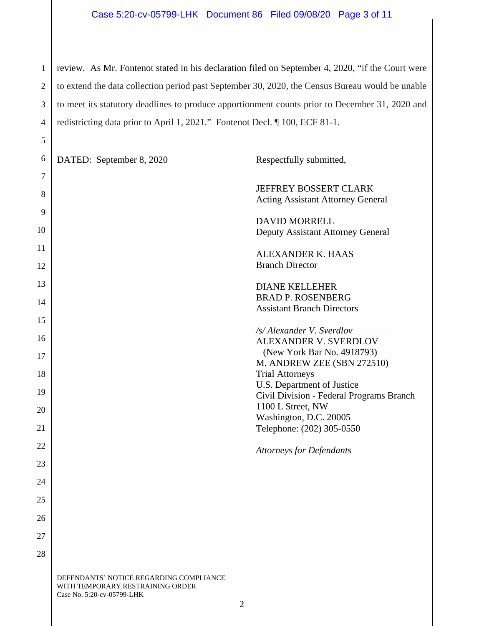1 2 3 4 review. As Mr. Fontenot stated in his declaration filed on September 4, 2020, "if the Court were to extend the data collection period past September 30, 2020, the Census Bureau would be unable to meet its statutory deadlines to produce apportionment counts prior to December 31, 2020 and redistricting data prior to April 1, 2021." Fontenot Decl. ¶ 100, ECF 81-1.

| 6        | DATED: September 8, 2020                                                    | Respectfully submitted,                                           |
|----------|-----------------------------------------------------------------------------|-------------------------------------------------------------------|
| 7        |                                                                             |                                                                   |
| 8        |                                                                             | JEFFREY BOSSERT CLARK<br><b>Acting Assistant Attorney General</b> |
| 9        |                                                                             | <b>DAVID MORRELL</b>                                              |
| 10       |                                                                             | Deputy Assistant Attorney General                                 |
| 11<br>12 |                                                                             | <b>ALEXANDER K. HAAS</b><br><b>Branch Director</b>                |
| 13       |                                                                             | <b>DIANE KELLEHER</b>                                             |
| 14       |                                                                             | <b>BRAD P. ROSENBERG</b>                                          |
| 15       |                                                                             | <b>Assistant Branch Directors</b>                                 |
| 16       |                                                                             | /s/Alexander V. Sverdlov                                          |
|          |                                                                             | <b>ALEXANDER V. SVERDLOV</b><br>(New York Bar No. 4918793)        |
| 17       |                                                                             | M. ANDREW ZEE (SBN 272510)                                        |
| 18       |                                                                             | <b>Trial Attorneys</b><br>U.S. Department of Justice              |
| 19       |                                                                             | Civil Division - Federal Programs Branch                          |
| 20       |                                                                             | 1100 L Street, NW<br>Washington, D.C. 20005                       |
| 21       |                                                                             | Telephone: (202) 305-0550                                         |
| 22       |                                                                             | <b>Attorneys for Defendants</b>                                   |
| 23       |                                                                             |                                                                   |
| 24       |                                                                             |                                                                   |
| 25       |                                                                             |                                                                   |
| 26       |                                                                             |                                                                   |
| 27       |                                                                             |                                                                   |
| 28       |                                                                             |                                                                   |
|          |                                                                             |                                                                   |
|          | DEFENDANTS' NOTICE REGARDING COMPLIANCE<br>WITH TEMPORARY RESTRAINING ORDER |                                                                   |

Case No. 5:20-cv-05799-LHK

5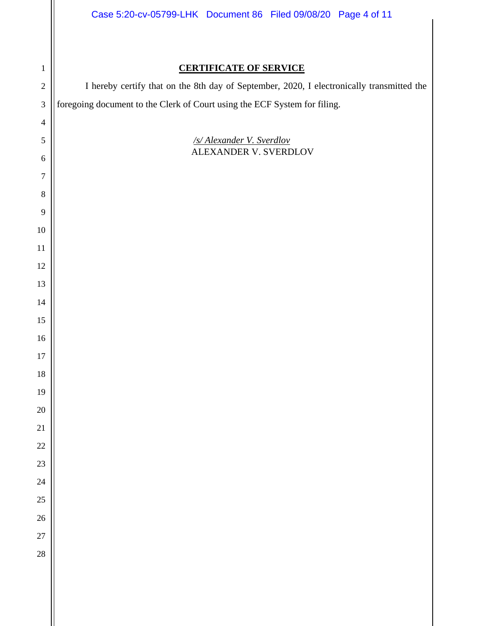| Case 5:20-cv-05799-LHK Document 86 Filed 09/08/20 Page 4 of 11 |  |  |  |
|----------------------------------------------------------------|--|--|--|
|----------------------------------------------------------------|--|--|--|

## **CERTIFICATE OF SERVICE**

I hereby certify that on the 8th day of September, 2020, I electronically transmitted the foregoing document to the Clerk of Court using the ECF System for filing.

> */s/ Alexander V. Sverdlov*  ALEXANDER V. SVERDLOV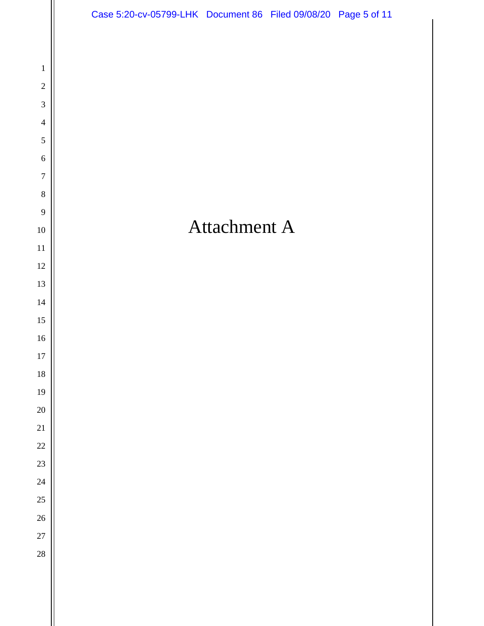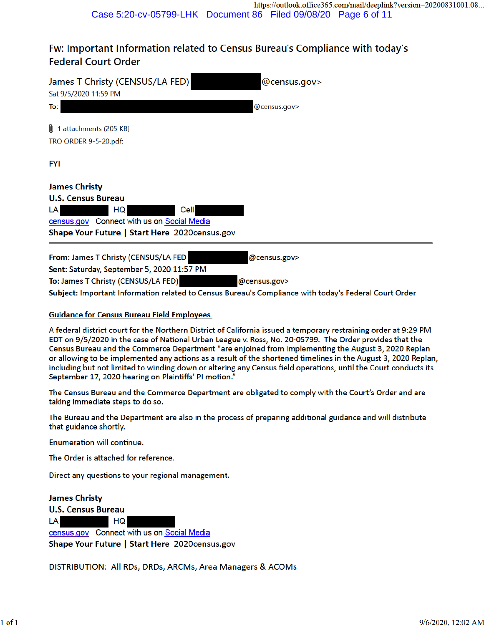# Fw: Important Information related to Census Bureau's Compliance with today's **Federal Court Order**

| James T Christy (CENSUS/LA FED) <br>Sat 9/5/2020 11:59 PM                                                                                                                                                                          | @census.gov>                 |
|------------------------------------------------------------------------------------------------------------------------------------------------------------------------------------------------------------------------------------|------------------------------|
| To:                                                                                                                                                                                                                                | @census.gov>                 |
| JJ 1 attachments (205 KB)<br>TRO ORDER 9-5-20.pdf;                                                                                                                                                                                 |                              |
| FYI                                                                                                                                                                                                                                |                              |
| James Christy<br><b>U.S. Census Bureau</b><br>LA<br>HQ<br>Cell<br>census.gov Connect with us on Social Media<br>Shape Your Future   Start Here 2020census.gov                                                                      |                              |
| From: James T Christy (CENSUS/LA FED<br>Sent: Saturday, September 5, 2020 11:57 PM<br>To: James T Christy (CENSUS/LA FED)<br>Subject: Important Information related to Census Bureau's Compliance with today's Federal Court Order | @census.gov><br>@census.gov> |

### **Guidance for Census Bureau Field Employees**

A federal district court for the Northern District of California issued a temporary restraining order at 9:29 PM EDT on 9/5/2020 in the case of National Urban League v. Ross, No. 20-05799. The Order provides that the Census Bureau and the Commerce Department "are enjoined from implementing the August 3, 2020 Replan or allowing to be implemented any actions as a result of the shortened timelines in the August 3, 2020 Replan, including but not limited to winding down or altering any Census field operations, until the Court conducts its September 17, 2020 hearing on Plaintiffs' PI motion."

The Census Bureau and the Commerce Department are obligated to comply with the Court's Order and are taking immediate steps to do so.

The Bureau and the Department are also in the process of preparing additional guidance and will distribute that guidance shortly.

Enumeration will continue.

The Order is attached for reference.

Direct any questions to your regional management.

**James Christy** 

**U.S. Census Bureau** 

**LA** HQ

census.gov Connect with us on Social Media Shape Your Future | Start Here 2020census.gov

DISTRIBUTION: All RDs, DRDs, ARCMs, Area Managers & ACOMs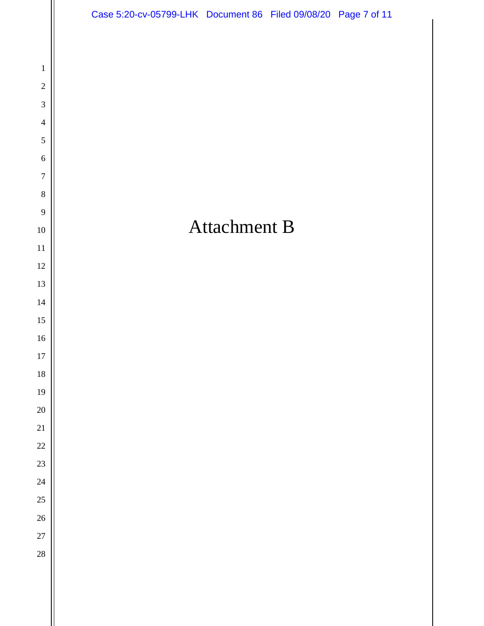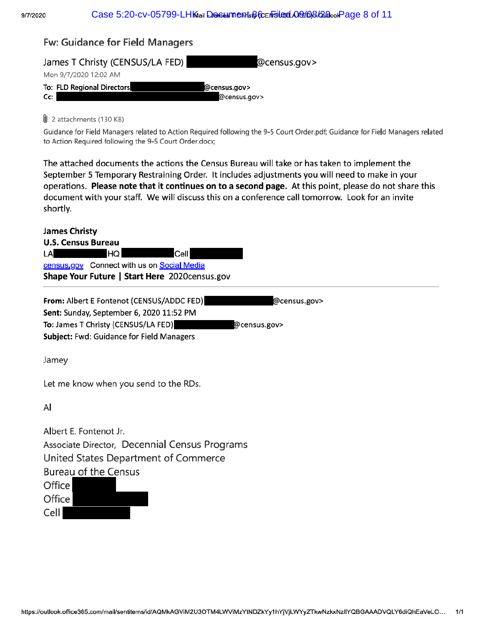## **Fw: Guidance for Field Managers**



### U 2 attachments (130 KB)

Guidance for Field Managers related to Action Required following the 9-5 Court Order.pdf; Guidance for Field Managers related to Action Required following the 9-5 Court Order.docx;

The attached documents the actions the Census Bureau will take or has taken to implement the September 5 Temporary Restraining Order. It includes adjustments you will need to make in your operations. Please note that it continues on to a second page. At this point, please do not share this document with your staff. We will discuss this on a conference call tomorrow. Look for an invite shortly.

### **James Christy**

| <b>U.S. Census Bureau</b> |      |                                                |  |
|---------------------------|------|------------------------------------------------|--|
| LA                        | HQ I | Cell                                           |  |
|                           |      | census, gov Connect with us on Social Media    |  |
|                           |      | Shape Your Future   Start Here 2020 census.gov |  |

| From: Albert E Fontenot (CENSUS/ADDC FED)        | @census.gov> |
|--------------------------------------------------|--------------|
| Sent: Sunday, September 6, 2020 11:52 PM         |              |
| To: James T Christy (CENSUS/LA FED)              | @census.gov> |
| <b>Subject: Fwd: Guidance for Field Managers</b> |              |

Jamey

Let me know when you send to the RDs.

Al

Cell I

Albert E. Fontenot Jr. Associate Director, Decennial Census Programs United States Department of Commerce **Bureau of the Census** Office Office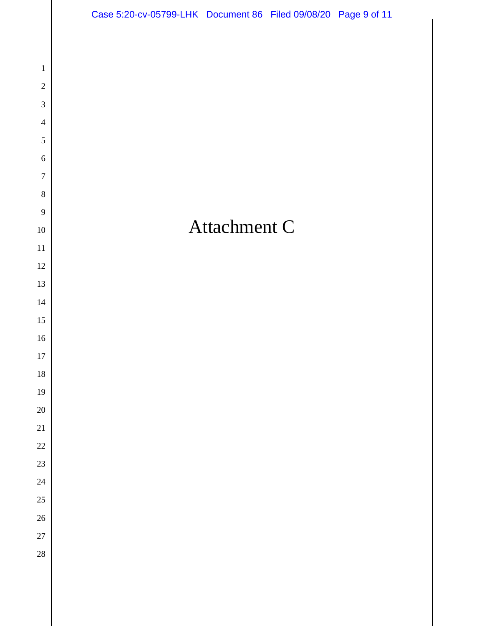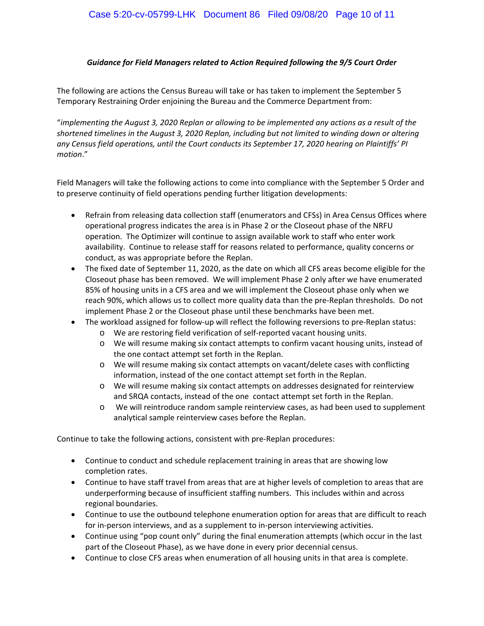### *Guidance for Field Managers related to Action Required following the 9/5 Court Order*

The following are actions the Census Bureau will take or has taken to implement the September 5 Temporary Restraining Order enjoining the Bureau and the Commerce Department from:

"*implementing the August 3, 2020 Replan or allowing to be implemented any actions as a result of the shortened timelines in the August 3, 2020 Replan, including but not limited to winding down or altering any Census field operations, until the Court conducts its September 17, 2020 hearing on Plaintiffs' PI motion*."

Field Managers will take the following actions to come into compliance with the September 5 Order and to preserve continuity of field operations pending further litigation developments:

- Refrain from releasing data collection staff (enumerators and CFSs) in Area Census Offices where operational progress indicates the area is in Phase 2 or the Closeout phase of the NRFU operation. The Optimizer will continue to assign available work to staff who enter work availability. Continue to release staff for reasons related to performance, quality concerns or conduct, as was appropriate before the Replan.
- The fixed date of September 11, 2020, as the date on which all CFS areas become eligible for the Closeout phase has been removed. We will implement Phase 2 only after we have enumerated 85% of housing units in a CFS area and we will implement the Closeout phase only when we reach 90%, which allows us to collect more quality data than the pre-Replan thresholds. Do not implement Phase 2 or the Closeout phase until these benchmarks have been met.
- The workload assigned for follow-up will reflect the following reversions to pre-Replan status:
	- o We are restoring field verification of self-reported vacant housing units.
	- o We will resume making six contact attempts to confirm vacant housing units, instead of the one contact attempt set forth in the Replan.
	- o We will resume making six contact attempts on vacant/delete cases with conflicting information, instead of the one contact attempt set forth in the Replan.
	- o We will resume making six contact attempts on addresses designated for reinterview and SRQA contacts, instead of the one contact attempt set forth in the Replan.
	- o We will reintroduce random sample reinterview cases, as had been used to supplement analytical sample reinterview cases before the Replan.

Continue to take the following actions, consistent with pre-Replan procedures:

- Continue to conduct and schedule replacement training in areas that are showing low completion rates.
- Continue to have staff travel from areas that are at higher levels of completion to areas that are underperforming because of insufficient staffing numbers. This includes within and across regional boundaries.
- Continue to use the outbound telephone enumeration option for areas that are difficult to reach for in-person interviews, and as a supplement to in-person interviewing activities.
- Continue using "pop count only" during the final enumeration attempts (which occur in the last part of the Closeout Phase), as we have done in every prior decennial census.
- Continue to close CFS areas when enumeration of all housing units in that area is complete.